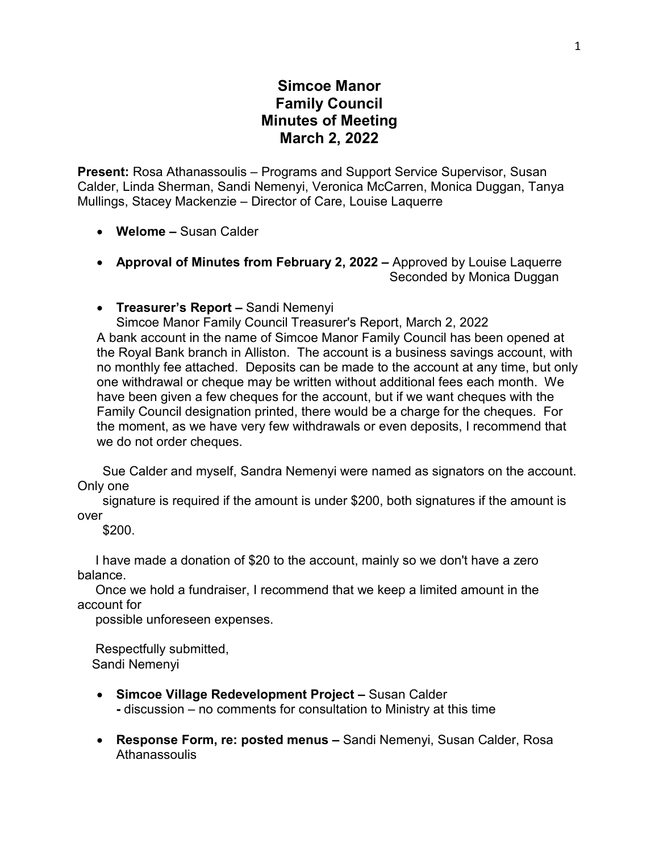## **Simcoe Manor Family Council Minutes of Meeting March 2, 2022**

**Present:** Rosa Athanassoulis – Programs and Support Service Supervisor, Susan Calder, Linda Sherman, Sandi Nemenyi, Veronica McCarren, Monica Duggan, Tanya Mullings, Stacey Mackenzie – Director of Care, Louise Laquerre

- **Welome –** Susan Calder
- **Approval of Minutes from February 2, 2022 –** Approved by Louise Laquerre Seconded by Monica Duggan
- **Treasurer's Report –** Sandi Nemenyi

Simcoe Manor Family Council Treasurer's Report, March 2, 2022 A bank account in the name of Simcoe Manor Family Council has been opened at the Royal Bank branch in Alliston. The account is a business savings account, with no monthly fee attached. Deposits can be made to the account at any time, but only one withdrawal or cheque may be written without additional fees each month. We have been given a few cheques for the account, but if we want cheques with the Family Council designation printed, there would be a charge for the cheques. For the moment, as we have very few withdrawals or even deposits, I recommend that we do not order cheques.

 Sue Calder and myself, Sandra Nemenyi were named as signators on the account. Only one

 signature is required if the amount is under \$200, both signatures if the amount is over

\$200.

 I have made a donation of \$20 to the account, mainly so we don't have a zero balance.

 Once we hold a fundraiser, I recommend that we keep a limited amount in the account for

possible unforeseen expenses.

 Respectfully submitted, Sandi Nemenyi

- **Simcoe Village Redevelopment Project –** Susan Calder
	- **-** discussion no comments for consultation to Ministry at this time
- **Response Form, re: posted menus –** Sandi Nemenyi, Susan Calder, Rosa **Athanassoulis**